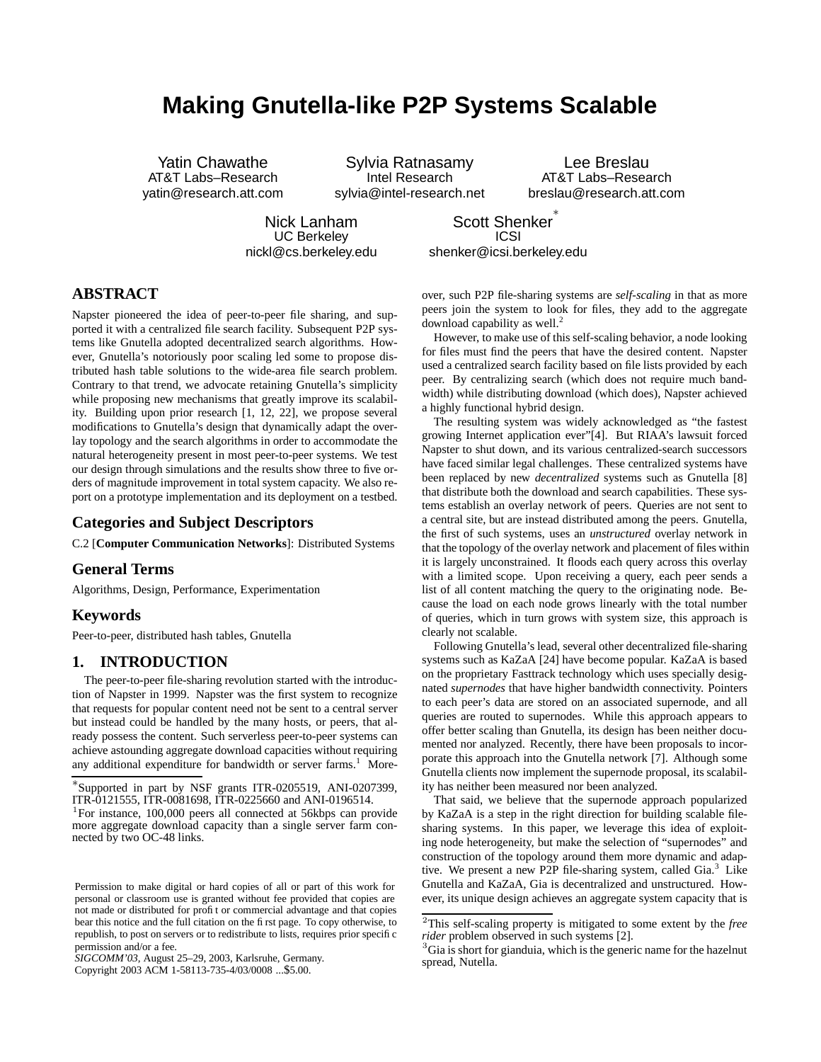# **Making Gnutella-like P2P Systems Scalable**

Yatin Chawathe AT&T Labs–Research yatin@research.att.com

Sylvia Ratnasamy Intel Research sylvia@intel-research.net

Lee Breslau AT&T Labs–Research breslau@research.att.com

Nick Lanham UC Berkeley nickl@cs.berkeley.edu

Scott Shenker<sup>\*</sup> ICSI shenker@icsi.berkeley.edu

# **ABSTRACT**

Napster pioneered the idea of peer-to-peer file sharing, and supported it with a centralized file search facility. Subsequent P2P systems like Gnutella adopted decentralized search algorithms. However, Gnutella's notoriously poor scaling led some to propose distributed hash table solutions to the wide-area file search problem. Contrary to that trend, we advocate retaining Gnutella's simplicity while proposing new mechanisms that greatly improve its scalability. Building upon prior research [1, 12, 22], we propose several modifications to Gnutella's design that dynamically adapt the overlay topology and the search algorithms in order to accommodate the natural heterogeneity present in most peer-to-peer systems. We test our design through simulations and the results show three to five orders of magnitude improvement in total system capacity. We also report on a prototype implementation and its deployment on a testbed.

# **Categories and Subject Descriptors**

C.2 [**Computer Communication Networks**]: Distributed Systems

# **General Terms**

Algorithms, Design, Performance, Experimentation

## **Keywords**

Peer-to-peer, distributed hash tables, Gnutella

# **1. INTRODUCTION**

The peer-to-peer file-sharing revolution started with the introduction of Napster in 1999. Napster was the first system to recognize that requests for popular content need not be sent to a central server but instead could be handled by the many hosts, or peers, that already possess the content. Such serverless peer-to-peer systems can achieve astounding aggregate download capacities without requiring any additional expenditure for bandwidth or server farms.<sup>1</sup> More-

*SIGCOMM'03,* August 25–29, 2003, Karlsruhe, Germany.

over, such P2P file-sharing systems are *self-scaling* in that as more peers join the system to look for files, they add to the aggregate download capability as well.<sup>2</sup>

However, to make use of this self-scaling behavior, a node looking for files must find the peers that have the desired content. Napster used a centralized search facility based on file lists provided by each peer. By centralizing search (which does not require much bandwidth) while distributing download (which does), Napster achieved a highly functional hybrid design.

The resulting system was widely acknowledged as "the fastest growing Internet application ever"[4]. But RIAA's lawsuit forced Napster to shut down, and its various centralized-search successors have faced similar legal challenges. These centralized systems have been replaced by new *decentralized* systems such as Gnutella [8] that distribute both the download and search capabilities. These systems establish an overlay network of peers. Queries are not sent to a central site, but are instead distributed among the peers. Gnutella, the first of such systems, uses an *unstructured* overlay network in that the topology of the overlay network and placement of files within it is largely unconstrained. It floods each query across this overlay with a limited scope. Upon receiving a query, each peer sends a list of all content matching the query to the originating node. Because the load on each node grows linearly with the total number of queries, which in turn grows with system size, this approach is clearly not scalable.

Following Gnutella's lead, several other decentralized file-sharing systems such as KaZaA [24] have become popular. KaZaA is based on the proprietary Fasttrack technology which uses specially designated *supernodes* that have higher bandwidth connectivity. Pointers to each peer's data are stored on an associated supernode, and all queries are routed to supernodes. While this approach appears to offer better scaling than Gnutella, its design has been neither documented nor analyzed. Recently, there have been proposals to incorporate this approach into the Gnutella network [7]. Although some Gnutella clients now implement the supernode proposal, its scalability has neither been measured nor been analyzed.

That said, we believe that the supernode approach popularized by KaZaA is a step in the right direction for building scalable filesharing systems. In this paper, we leverage this idea of exploiting node heterogeneity, but make the selection of "supernodes" and construction of the topology around them more dynamic and adaptive. We present a new P2P file-sharing system, called Gia.<sup>3</sup> Like Gnutella and KaZaA, Gia is decentralized and unstructured. However, its unique design achieves an aggregate system capacity that is

<sup>∗</sup> Supported in part by NSF grants ITR-0205519, ANI-0207399, ITR-0121555, ITR-0081698, ITR-0225660 and ANI-0196514.

<sup>&</sup>lt;sup>1</sup>For instance, 100,000 peers all connected at 56kbps can provide more aggregate download capacity than a single server farm connected by two OC-48 links.

Permission to make digital or hard copies of all or part of this work for personal or classroom use is granted without fee provided that copies are not made or distributed for profit or commercial advantage and that copies bear this notice and the full citation on the first page. To copy otherwise, to republish, to post on servers or to redistribute to lists, requires prior specific permission and/or a fee.

Copyright 2003 ACM 1-58113-735-4/03/0008 ...\$5.00.

<sup>2</sup>This self-scaling property is mitigated to some extent by the *free rider* problem observed in such systems [2].

 $3$ Gia is short for gianduia, which is the generic name for the hazelnut spread, Nutella.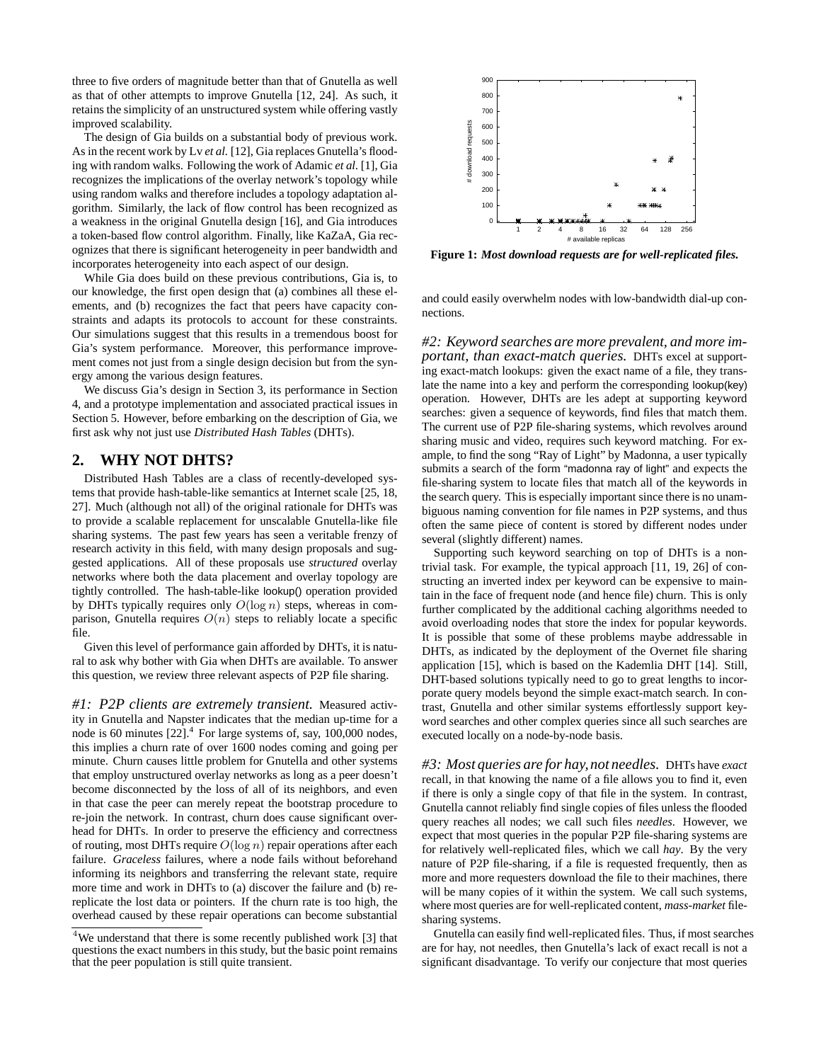three to five orders of magnitude better than that of Gnutella as well as that of other attempts to improve Gnutella [12, 24]. As such, it retains the simplicity of an unstructured system while offering vastly improved scalability.

The design of Gia builds on a substantial body of previous work. As in the recent work by Lv *et al.* [12], Gia replaces Gnutella's flooding with random walks. Following the work of Adamic *et al.* [1], Gia recognizes the implications of the overlay network's topology while using random walks and therefore includes a topology adaptation algorithm. Similarly, the lack of flow control has been recognized as a weakness in the original Gnutella design [16], and Gia introduces a token-based flow control algorithm. Finally, like KaZaA, Gia recognizes that there is significant heterogeneity in peer bandwidth and incorporates heterogeneity into each aspect of our design.

While Gia does build on these previous contributions, Gia is, to our knowledge, the first open design that (a) combines all these elements, and (b) recognizes the fact that peers have capacity constraints and adapts its protocols to account for these constraints. Our simulations suggest that this results in a tremendous boost for Gia's system performance. Moreover, this performance improvement comes not just from a single design decision but from the synergy among the various design features.

We discuss Gia's design in Section 3, its performance in Section 4, and a prototype implementation and associated practical issues in Section 5. However, before embarking on the description of Gia, we first ask why not just use *Distributed Hash Tables* (DHTs).

# **2. WHY NOT DHTS?**

Distributed Hash Tables are a class of recently-developed systems that provide hash-table-like semantics at Internet scale [25, 18, 27]. Much (although not all) of the original rationale for DHTs was to provide a scalable replacement for unscalable Gnutella-like file sharing systems. The past few years has seen a veritable frenzy of research activity in this field, with many design proposals and suggested applications. All of these proposals use *structured* overlay networks where both the data placement and overlay topology are tightly controlled. The hash-table-like lookup() operation provided by DHTs typically requires only  $O(\log n)$  steps, whereas in comparison, Gnutella requires  $O(n)$  steps to reliably locate a specific file.

Given this level of performance gain afforded by DHTs, it is natural to ask why bother with Gia when DHTs are available. To answer this question, we review three relevant aspects of P2P file sharing.

*#1: P2P clients are extremely transient.* Measured activity in Gnutella and Napster indicates that the median up-time for a node is 60 minutes [22].<sup>4</sup> For large systems of, say, 100,000 nodes, this implies a churn rate of over 1600 nodes coming and going per minute. Churn causes little problem for Gnutella and other systems that employ unstructured overlay networks as long as a peer doesn't become disconnected by the loss of all of its neighbors, and even in that case the peer can merely repeat the bootstrap procedure to re-join the network. In contrast, churn does cause significant overhead for DHTs. In order to preserve the efficiency and correctness of routing, most DHTs require  $O(\log n)$  repair operations after each failure. *Graceless* failures, where a node fails without beforehand informing its neighbors and transferring the relevant state, require more time and work in DHTs to (a) discover the failure and (b) rereplicate the lost data or pointers. If the churn rate is too high, the overhead caused by these repair operations can become substantial



**Figure 1:** *Most download requests are for well-replicated files.*

and could easily overwhelm nodes with low-bandwidth dial-up connections.

*#2: Keyword searches are more prevalent, and more important, than exact-match queries.* DHTs excel at supporting exact-match lookups: given the exact name of a file, they translate the name into a key and perform the corresponding lookup(key) operation. However, DHTs are les adept at supporting keyword searches: given a sequence of keywords, find files that match them. The current use of P2P file-sharing systems, which revolves around sharing music and video, requires such keyword matching. For example, to find the song "Ray of Light" by Madonna, a user typically submits a search of the form "madonna ray of light" and expects the file-sharing system to locate files that match all of the keywords in the search query. This is especially important since there is no unambiguous naming convention for file names in P2P systems, and thus often the same piece of content is stored by different nodes under several (slightly different) names.

Supporting such keyword searching on top of DHTs is a nontrivial task. For example, the typical approach [11, 19, 26] of constructing an inverted index per keyword can be expensive to maintain in the face of frequent node (and hence file) churn. This is only further complicated by the additional caching algorithms needed to avoid overloading nodes that store the index for popular keywords. It is possible that some of these problems maybe addressable in DHTs, as indicated by the deployment of the Overnet file sharing application [15], which is based on the Kademlia DHT [14]. Still, DHT-based solutions typically need to go to great lengths to incorporate query models beyond the simple exact-match search. In contrast, Gnutella and other similar systems effortlessly support keyword searches and other complex queries since all such searches are executed locally on a node-by-node basis.

*#3: Most queries are for hay,not needles.* DHTs have *exact* recall, in that knowing the name of a file allows you to find it, even if there is only a single copy of that file in the system. In contrast, Gnutella cannot reliably find single copies of files unless the flooded query reaches all nodes; we call such files *needles*. However, we expect that most queries in the popular P2P file-sharing systems are for relatively well-replicated files, which we call *hay*. By the very nature of P2P file-sharing, if a file is requested frequently, then as more and more requesters download the file to their machines, there will be many copies of it within the system. We call such systems, where most queries are for well-replicated content, *mass-market* filesharing systems.

Gnutella can easily find well-replicated files. Thus, if most searches are for hay, not needles, then Gnutella's lack of exact recall is not a significant disadvantage. To verify our conjecture that most queries

<sup>4</sup>We understand that there is some recently published work [3] that questions the exact numbers in this study, but the basic point remains that the peer population is still quite transient.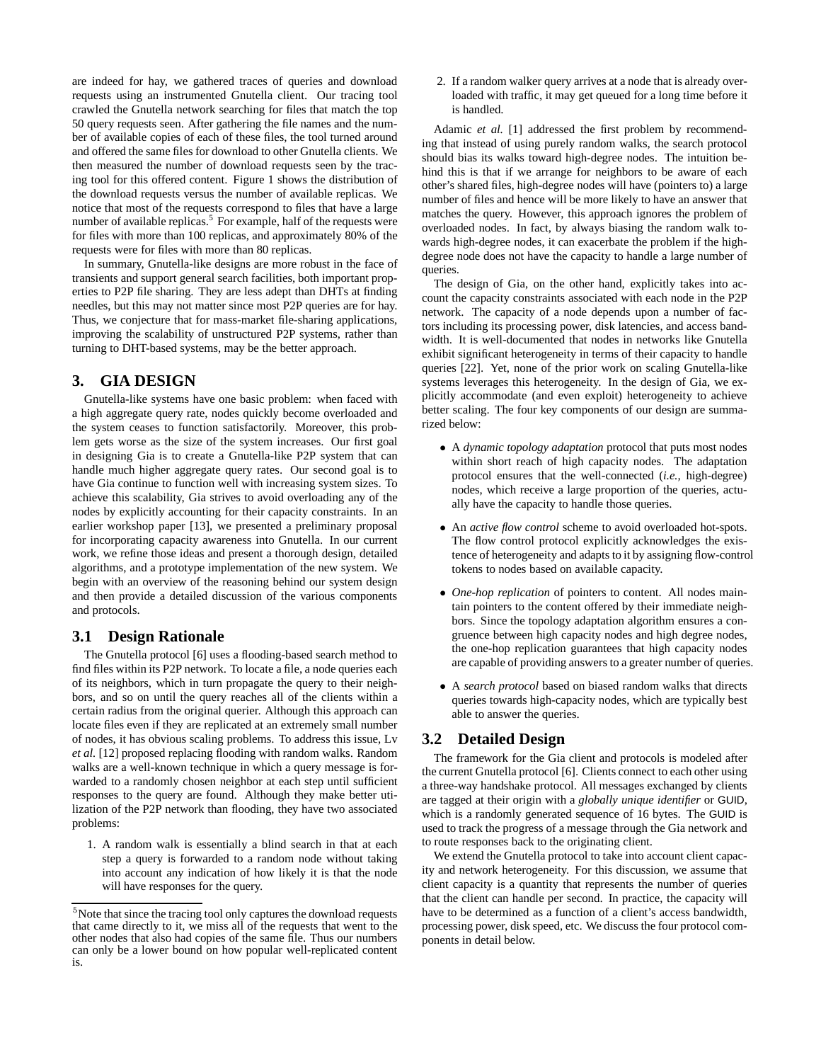are indeed for hay, we gathered traces of queries and download requests using an instrumented Gnutella client. Our tracing tool crawled the Gnutella network searching for files that match the top 50 query requests seen. After gathering the file names and the number of available copies of each of these files, the tool turned around and offered the same files for download to other Gnutella clients. We then measured the number of download requests seen by the tracing tool for this offered content. Figure 1 shows the distribution of the download requests versus the number of available replicas. We notice that most of the requests correspond to files that have a large number of available replicas.<sup>5</sup> For example, half of the requests were for files with more than 100 replicas, and approximately 80% of the requests were for files with more than 80 replicas.

In summary, Gnutella-like designs are more robust in the face of transients and support general search facilities, both important properties to P2P file sharing. They are less adept than DHTs at finding needles, but this may not matter since most P2P queries are for hay. Thus, we conjecture that for mass-market file-sharing applications, improving the scalability of unstructured P2P systems, rather than turning to DHT-based systems, may be the better approach.

# **3. GIA DESIGN**

Gnutella-like systems have one basic problem: when faced with a high aggregate query rate, nodes quickly become overloaded and the system ceases to function satisfactorily. Moreover, this problem gets worse as the size of the system increases. Our first goal in designing Gia is to create a Gnutella-like P2P system that can handle much higher aggregate query rates. Our second goal is to have Gia continue to function well with increasing system sizes. To achieve this scalability, Gia strives to avoid overloading any of the nodes by explicitly accounting for their capacity constraints. In an earlier workshop paper [13], we presented a preliminary proposal for incorporating capacity awareness into Gnutella. In our current work, we refine those ideas and present a thorough design, detailed algorithms, and a prototype implementation of the new system. We begin with an overview of the reasoning behind our system design and then provide a detailed discussion of the various components and protocols.

# **3.1 Design Rationale**

The Gnutella protocol [6] uses a flooding-based search method to find files within its P2P network. To locate a file, a node queries each of its neighbors, which in turn propagate the query to their neighbors, and so on until the query reaches all of the clients within a certain radius from the original querier. Although this approach can locate files even if they are replicated at an extremely small number of nodes, it has obvious scaling problems. To address this issue, Lv *et al.* [12] proposed replacing flooding with random walks. Random walks are a well-known technique in which a query message is forwarded to a randomly chosen neighbor at each step until sufficient responses to the query are found. Although they make better utilization of the P2P network than flooding, they have two associated problems:

1. A random walk is essentially a blind search in that at each step a query is forwarded to a random node without taking into account any indication of how likely it is that the node will have responses for the query.

2. If a random walker query arrives at a node that is already overloaded with traffic, it may get queued for a long time before it is handled.

Adamic *et al.* [1] addressed the first problem by recommending that instead of using purely random walks, the search protocol should bias its walks toward high-degree nodes. The intuition behind this is that if we arrange for neighbors to be aware of each other's shared files, high-degree nodes will have (pointers to) a large number of files and hence will be more likely to have an answer that matches the query. However, this approach ignores the problem of overloaded nodes. In fact, by always biasing the random walk towards high-degree nodes, it can exacerbate the problem if the highdegree node does not have the capacity to handle a large number of queries.

The design of Gia, on the other hand, explicitly takes into account the capacity constraints associated with each node in the P2P network. The capacity of a node depends upon a number of factors including its processing power, disk latencies, and access bandwidth. It is well-documented that nodes in networks like Gnutella exhibit significant heterogeneity in terms of their capacity to handle queries [22]. Yet, none of the prior work on scaling Gnutella-like systems leverages this heterogeneity. In the design of Gia, we explicitly accommodate (and even exploit) heterogeneity to achieve better scaling. The four key components of our design are summarized below:

- A *dynamic topology adaptation* protocol that puts most nodes within short reach of high capacity nodes. The adaptation protocol ensures that the well-connected (*i.e.,* high-degree) nodes, which receive a large proportion of the queries, actually have the capacity to handle those queries.
- An *active flow control* scheme to avoid overloaded hot-spots. The flow control protocol explicitly acknowledges the existence of heterogeneity and adapts to it by assigning flow-control tokens to nodes based on available capacity.
- *One-hop replication* of pointers to content. All nodes maintain pointers to the content offered by their immediate neighbors. Since the topology adaptation algorithm ensures a congruence between high capacity nodes and high degree nodes, the one-hop replication guarantees that high capacity nodes are capable of providing answers to a greater number of queries.
- A *search protocol* based on biased random walks that directs queries towards high-capacity nodes, which are typically best able to answer the queries.

# **3.2 Detailed Design**

The framework for the Gia client and protocols is modeled after the current Gnutella protocol [6]. Clients connect to each other using a three-way handshake protocol. All messages exchanged by clients are tagged at their origin with a *globally unique identifier* or GUID, which is a randomly generated sequence of 16 bytes. The GUID is used to track the progress of a message through the Gia network and to route responses back to the originating client.

We extend the Gnutella protocol to take into account client capacity and network heterogeneity. For this discussion, we assume that client capacity is a quantity that represents the number of queries that the client can handle per second. In practice, the capacity will have to be determined as a function of a client's access bandwidth, processing power, disk speed, etc. We discuss the four protocol components in detail below.

 $5$ Note that since the tracing tool only captures the download requests that came directly to it, we miss all of the requests that went to the other nodes that also had copies of the same file. Thus our numbers can only be a lower bound on how popular well-replicated content is.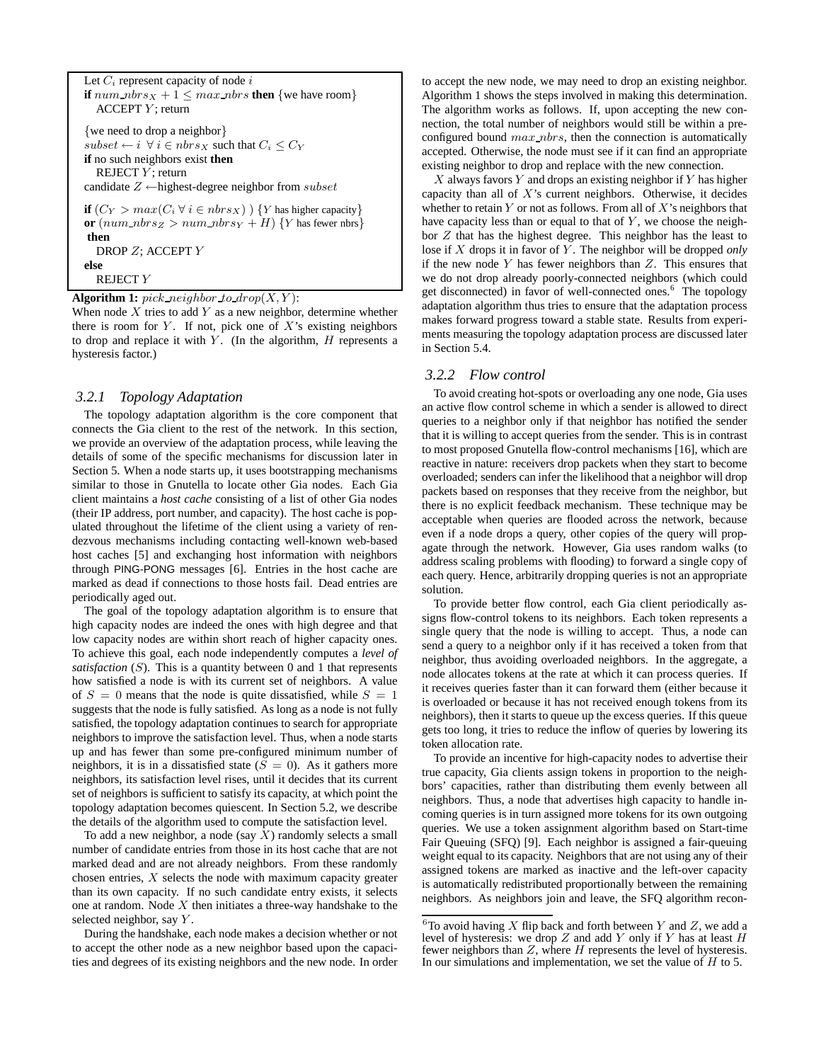Let  $C_i$  represent capacity of node i **if**  $num\_nbrs_X + 1 \leq max\_nbrs$  **then** {we have room}  $ACCEPTY$ ; return {we need to drop a neighbor}  $subset \leftarrow i \ \forall i \in nbrs_X \text{ such that } C_i \leq C_Y$ **if** no such neighbors exist **then** REJECT  $Y$ ; return candidate  $Z \leftarrow$ highest-degree neighbor from subset **if**  $(C_Y > max(C_i \forall i \in nbrs_X))$  {Y has higher capacity} **or**  $(num\_nbrs_Z > num\_nbrs_Y + H)$  {Y has fewer nbrs} **then** DROP Z; ACCEPT Y **else** REJECT Y

**Algorithm 1:** pick\_neighbor\_to\_drop( $X, Y$ ):

When node  $X$  tries to add  $Y$  as a new neighbor, determine whether there is room for  $Y$ . If not, pick one of  $X$ 's existing neighbors to drop and replace it with  $Y$ . (In the algorithm,  $H$  represents a hysteresis factor.)

## *3.2.1 Topology Adaptation*

The topology adaptation algorithm is the core component that connects the Gia client to the rest of the network. In this section, we provide an overview of the adaptation process, while leaving the details of some of the specific mechanisms for discussion later in Section 5. When a node starts up, it uses bootstrapping mechanisms similar to those in Gnutella to locate other Gia nodes. Each Gia client maintains a *host cache* consisting of a list of other Gia nodes (their IP address, port number, and capacity). The host cache is populated throughout the lifetime of the client using a variety of rendezvous mechanisms including contacting well-known web-based host caches [5] and exchanging host information with neighbors through PING-PONG messages [6]. Entries in the host cache are marked as dead if connections to those hosts fail. Dead entries are periodically aged out.

The goal of the topology adaptation algorithm is to ensure that high capacity nodes are indeed the ones with high degree and that low capacity nodes are within short reach of higher capacity ones. To achieve this goal, each node independently computes a *level of satisfaction* (S). This is a quantity between 0 and 1 that represents how satisfied a node is with its current set of neighbors. A value of  $S = 0$  means that the node is quite dissatisfied, while  $S = 1$ suggests that the node is fully satisfied. As long as a node is not fully satisfied, the topology adaptation continues to search for appropriate neighbors to improve the satisfaction level. Thus, when a node starts up and has fewer than some pre-configured minimum number of neighbors, it is in a dissatisfied state  $(S = 0)$ . As it gathers more neighbors, its satisfaction level rises, until it decides that its current set of neighbors is sufficient to satisfy its capacity, at which point the topology adaptation becomes quiescent. In Section 5.2, we describe the details of the algorithm used to compute the satisfaction level.

To add a new neighbor, a node (say  $X$ ) randomly selects a small number of candidate entries from those in its host cache that are not marked dead and are not already neighbors. From these randomly chosen entries,  $X$  selects the node with maximum capacity greater than its own capacity. If no such candidate entry exists, it selects one at random. Node  $X$  then initiates a three-way handshake to the selected neighbor, say Y .

During the handshake, each node makes a decision whether or not to accept the other node as a new neighbor based upon the capacities and degrees of its existing neighbors and the new node. In order to accept the new node, we may need to drop an existing neighbor. Algorithm 1 shows the steps involved in making this determination. The algorithm works as follows. If, upon accepting the new connection, the total number of neighbors would still be within a preconfigured bound  $max\_nbrs$ , then the connection is automatically accepted. Otherwise, the node must see if it can find an appropriate existing neighbor to drop and replace with the new connection.

 $X$  always favors Y and drops an existing neighbor if Y has higher capacity than all of  $X$ 's current neighbors. Otherwise, it decides whether to retain  $Y$  or not as follows. From all of  $X$ 's neighbors that have capacity less than or equal to that of  $Y$ , we choose the neighbor Z that has the highest degree. This neighbor has the least to lose if X drops it in favor of Y . The neighbor will be dropped *only* if the new node  $Y$  has fewer neighbors than  $Z$ . This ensures that we do not drop already poorly-connected neighbors (which could get disconnected) in favor of well-connected ones.<sup>6</sup> The topology adaptation algorithm thus tries to ensure that the adaptation process makes forward progress toward a stable state. Results from experiments measuring the topology adaptation process are discussed later in Section 5.4.

# *3.2.2 Flow control*

To avoid creating hot-spots or overloading any one node, Gia uses an active flow control scheme in which a sender is allowed to direct queries to a neighbor only if that neighbor has notified the sender that it is willing to accept queries from the sender. This is in contrast to most proposed Gnutella flow-control mechanisms [16], which are reactive in nature: receivers drop packets when they start to become overloaded; senders can infer the likelihood that a neighbor will drop packets based on responses that they receive from the neighbor, but there is no explicit feedback mechanism. These technique may be acceptable when queries are flooded across the network, because even if a node drops a query, other copies of the query will propagate through the network. However, Gia uses random walks (to address scaling problems with flooding) to forward a single copy of each query. Hence, arbitrarily dropping queries is not an appropriate solution.

To provide better flow control, each Gia client periodically assigns flow-control tokens to its neighbors. Each token represents a single query that the node is willing to accept. Thus, a node can send a query to a neighbor only if it has received a token from that neighbor, thus avoiding overloaded neighbors. In the aggregate, a node allocates tokens at the rate at which it can process queries. If it receives queries faster than it can forward them (either because it is overloaded or because it has not received enough tokens from its neighbors), then it starts to queue up the excess queries. If this queue gets too long, it tries to reduce the inflow of queries by lowering its token allocation rate.

To provide an incentive for high-capacity nodes to advertise their true capacity, Gia clients assign tokens in proportion to the neighbors' capacities, rather than distributing them evenly between all neighbors. Thus, a node that advertises high capacity to handle incoming queries is in turn assigned more tokens for its own outgoing queries. We use a token assignment algorithm based on Start-time Fair Queuing (SFQ) [9]. Each neighbor is assigned a fair-queuing weight equal to its capacity. Neighbors that are not using any of their assigned tokens are marked as inactive and the left-over capacity is automatically redistributed proportionally between the remaining neighbors. As neighbors join and leave, the SFQ algorithm recon-

<sup>&</sup>lt;sup>6</sup>To avoid having X flip back and forth between Y and Z, we add a level of hysteresis: we drop  $Z$  and add  $Y$  only if  $Y$  has at least  $H$ fewer neighbors than  $Z$ , where  $H$  represents the level of hysteresis. In our simulations and implementation, we set the value of  $H$  to 5.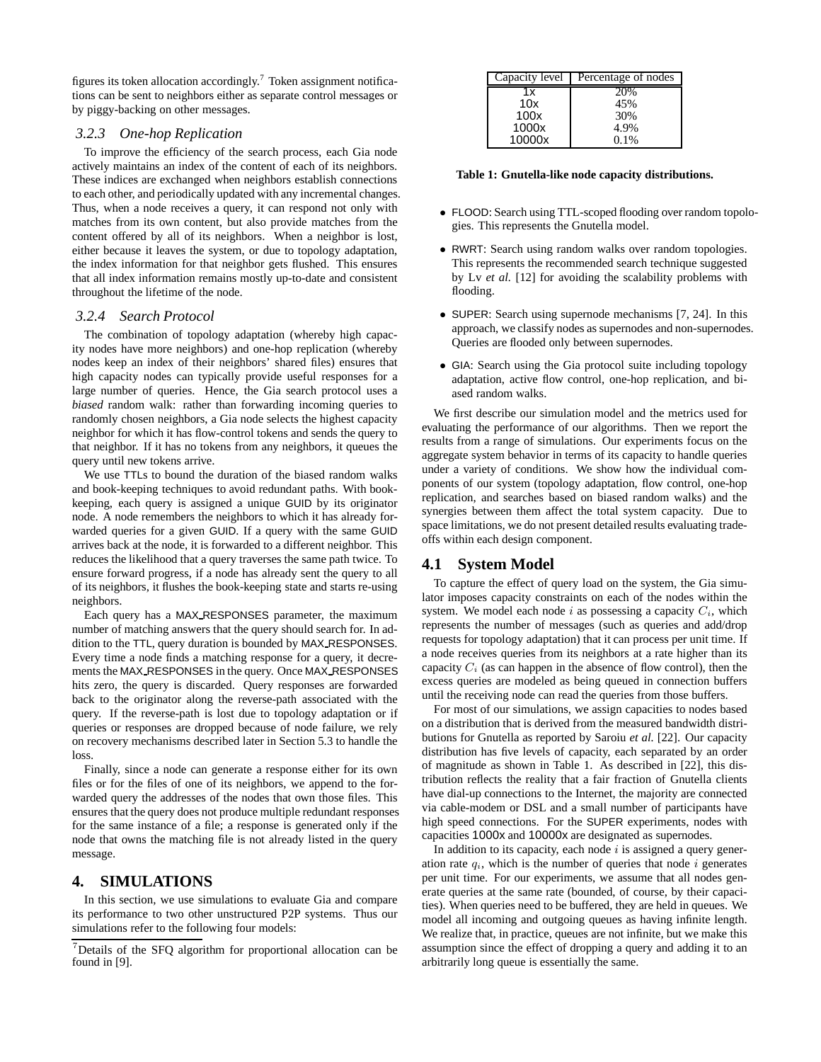figures its token allocation accordingly.<sup>7</sup> Token assignment notifications can be sent to neighbors either as separate control messages or by piggy-backing on other messages.

#### *3.2.3 One-hop Replication*

To improve the efficiency of the search process, each Gia node actively maintains an index of the content of each of its neighbors. These indices are exchanged when neighbors establish connections to each other, and periodically updated with any incremental changes. Thus, when a node receives a query, it can respond not only with matches from its own content, but also provide matches from the content offered by all of its neighbors. When a neighbor is lost, either because it leaves the system, or due to topology adaptation, the index information for that neighbor gets flushed. This ensures that all index information remains mostly up-to-date and consistent throughout the lifetime of the node.

#### *3.2.4 Search Protocol*

The combination of topology adaptation (whereby high capacity nodes have more neighbors) and one-hop replication (whereby nodes keep an index of their neighbors' shared files) ensures that high capacity nodes can typically provide useful responses for a large number of queries. Hence, the Gia search protocol uses a *biased* random walk: rather than forwarding incoming queries to randomly chosen neighbors, a Gia node selects the highest capacity neighbor for which it has flow-control tokens and sends the query to that neighbor. If it has no tokens from any neighbors, it queues the query until new tokens arrive.

We use TTLs to bound the duration of the biased random walks and book-keeping techniques to avoid redundant paths. With bookkeeping, each query is assigned a unique GUID by its originator node. A node remembers the neighbors to which it has already forwarded queries for a given GUID. If a query with the same GUID arrives back at the node, it is forwarded to a different neighbor. This reduces the likelihood that a query traverses the same path twice. To ensure forward progress, if a node has already sent the query to all of its neighbors, it flushes the book-keeping state and starts re-using neighbors.

Each query has a MAX RESPONSES parameter, the maximum number of matching answers that the query should search for. In addition to the TTL, query duration is bounded by MAX RESPONSES. Every time a node finds a matching response for a query, it decrements the MAX RESPONSES in the query. Once MAX RESPONSES hits zero, the query is discarded. Query responses are forwarded back to the originator along the reverse-path associated with the query. If the reverse-path is lost due to topology adaptation or if queries or responses are dropped because of node failure, we rely on recovery mechanisms described later in Section 5.3 to handle the loss.

Finally, since a node can generate a response either for its own files or for the files of one of its neighbors, we append to the forwarded query the addresses of the nodes that own those files. This ensures that the query does not produce multiple redundant responses for the same instance of a file; a response is generated only if the node that owns the matching file is not already listed in the query message.

## **4. SIMULATIONS**

In this section, we use simulations to evaluate Gia and compare its performance to two other unstructured P2P systems. Thus our simulations refer to the following four models:

| Capacity level | Percentage of nodes |
|----------------|---------------------|
| 1 x            | 20%                 |
| 10x            | 45%                 |
| 100x           | 30%                 |
| 1000x          | 4.9%                |
| 10000x         | 0.1%                |

**Table 1: Gnutella-like node capacity distributions.**

- FLOOD: Search using TTL-scoped flooding over random topologies. This represents the Gnutella model.
- RWRT: Search using random walks over random topologies. This represents the recommended search technique suggested by Lv *et al.* [12] for avoiding the scalability problems with flooding.
- SUPER: Search using supernode mechanisms [7, 24]. In this approach, we classify nodes as supernodes and non-supernodes. Queries are flooded only between supernodes.
- GIA: Search using the Gia protocol suite including topology adaptation, active flow control, one-hop replication, and biased random walks.

We first describe our simulation model and the metrics used for evaluating the performance of our algorithms. Then we report the results from a range of simulations. Our experiments focus on the aggregate system behavior in terms of its capacity to handle queries under a variety of conditions. We show how the individual components of our system (topology adaptation, flow control, one-hop replication, and searches based on biased random walks) and the synergies between them affect the total system capacity. Due to space limitations, we do not present detailed results evaluating tradeoffs within each design component.

## **4.1 System Model**

To capture the effect of query load on the system, the Gia simulator imposes capacity constraints on each of the nodes within the system. We model each node i as possessing a capacity  $C_i$ , which represents the number of messages (such as queries and add/drop requests for topology adaptation) that it can process per unit time. If a node receives queries from its neighbors at a rate higher than its capacity  $C_i$  (as can happen in the absence of flow control), then the excess queries are modeled as being queued in connection buffers until the receiving node can read the queries from those buffers.

For most of our simulations, we assign capacities to nodes based on a distribution that is derived from the measured bandwidth distributions for Gnutella as reported by Saroiu *et al.* [22]. Our capacity distribution has five levels of capacity, each separated by an order of magnitude as shown in Table 1. As described in [22], this distribution reflects the reality that a fair fraction of Gnutella clients have dial-up connections to the Internet, the majority are connected via cable-modem or DSL and a small number of participants have high speed connections. For the SUPER experiments, nodes with capacities 1000x and 10000x are designated as supernodes.

In addition to its capacity, each node  $i$  is assigned a query generation rate  $q_i$ , which is the number of queries that node i generates per unit time. For our experiments, we assume that all nodes generate queries at the same rate (bounded, of course, by their capacities). When queries need to be buffered, they are held in queues. We model all incoming and outgoing queues as having infinite length. We realize that, in practice, queues are not infinite, but we make this assumption since the effect of dropping a query and adding it to an arbitrarily long queue is essentially the same.

<sup>7</sup>Details of the SFQ algorithm for proportional allocation can be found in [9].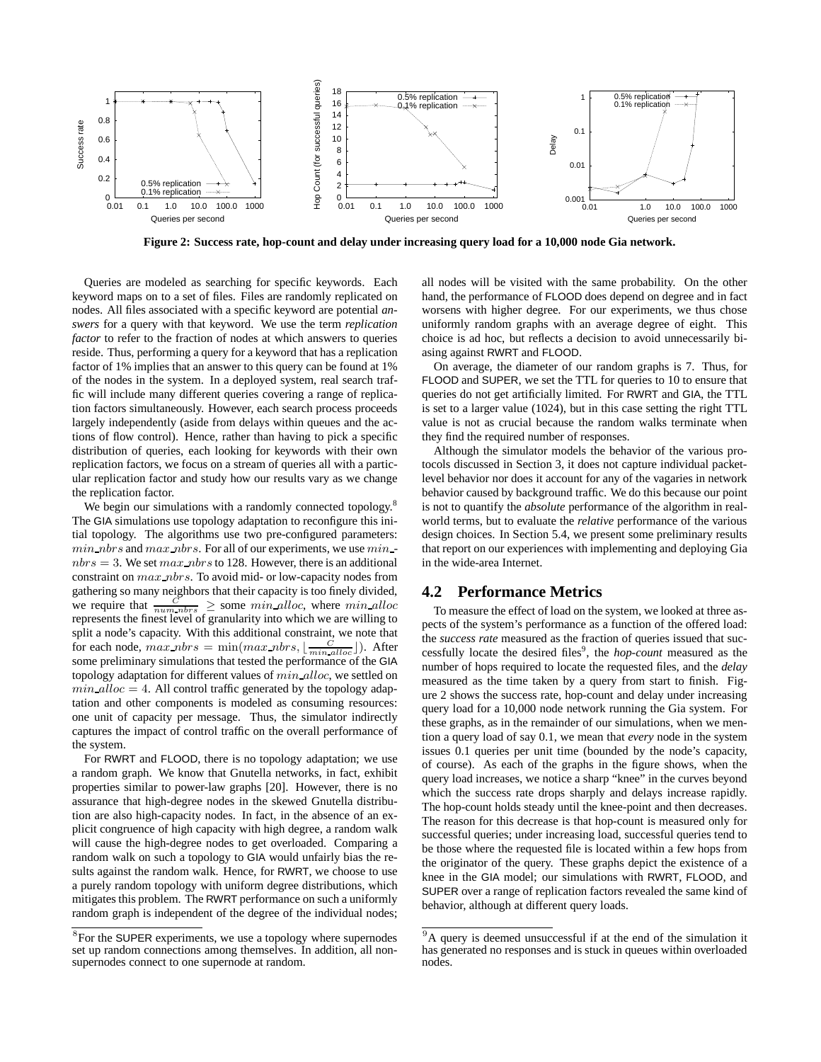

**Figure 2: Success rate, hop-count and delay under increasing query load for a 10,000 node Gia network.**

Queries are modeled as searching for specific keywords. Each keyword maps on to a set of files. Files are randomly replicated on nodes. All files associated with a specific keyword are potential *answers* for a query with that keyword. We use the term *replication factor* to refer to the fraction of nodes at which answers to queries reside. Thus, performing a query for a keyword that has a replication factor of 1% implies that an answer to this query can be found at 1% of the nodes in the system. In a deployed system, real search traffic will include many different queries covering a range of replication factors simultaneously. However, each search process proceeds largely independently (aside from delays within queues and the actions of flow control). Hence, rather than having to pick a specific distribution of queries, each looking for keywords with their own replication factors, we focus on a stream of queries all with a particular replication factor and study how our results vary as we change the replication factor.

We begin our simulations with a randomly connected topology.<sup>8</sup> The GIA simulations use topology adaptation to reconfigure this initial topology. The algorithms use two pre-configured parameters:  $min\_nbrs$  and  $max\_nbrs$ . For all of our experiments, we use  $min\_$  $nbrs = 3$ . We set  $max\_nbrs$  to 128. However, there is an additional constraint on  $max\_nbrs$ . To avoid mid- or low-capacity nodes from gathering so many neighbors that their capacity is too finely divided, we require that  $\frac{\tilde{C}}{num\_nbrs} \ge$  some  $min\_alloc$ , where  $min\_alloc$ represents the finest level of granularity into which we are willing to split a node's capacity. With this additional constraint, we note that for each node,  $max\_nbrs = min(max\_nbrs, \lfloor \frac{C}{min\_alloc} \rfloor)$ . After some preliminary simulations that tested the performance of the GIA topology adaptation for different values of *min alloc*, we settled on  $min\_alloc = 4$ . All control traffic generated by the topology adaptation and other components is modeled as consuming resources: one unit of capacity per message. Thus, the simulator indirectly captures the impact of control traffic on the overall performance of the system.

For RWRT and FLOOD, there is no topology adaptation; we use a random graph. We know that Gnutella networks, in fact, exhibit properties similar to power-law graphs [20]. However, there is no assurance that high-degree nodes in the skewed Gnutella distribution are also high-capacity nodes. In fact, in the absence of an explicit congruence of high capacity with high degree, a random walk will cause the high-degree nodes to get overloaded. Comparing a random walk on such a topology to GIA would unfairly bias the results against the random walk. Hence, for RWRT, we choose to use a purely random topology with uniform degree distributions, which mitigates this problem. The RWRT performance on such a uniformly random graph is independent of the degree of the individual nodes; all nodes will be visited with the same probability. On the other hand, the performance of FLOOD does depend on degree and in fact worsens with higher degree. For our experiments, we thus chose uniformly random graphs with an average degree of eight. This choice is ad hoc, but reflects a decision to avoid unnecessarily biasing against RWRT and FLOOD.

On average, the diameter of our random graphs is 7. Thus, for FLOOD and SUPER, we set the TTL for queries to 10 to ensure that queries do not get artificially limited. For RWRT and GIA, the TTL is set to a larger value (1024), but in this case setting the right TTL value is not as crucial because the random walks terminate when they find the required number of responses.

Although the simulator models the behavior of the various protocols discussed in Section 3, it does not capture individual packetlevel behavior nor does it account for any of the vagaries in network behavior caused by background traffic. We do this because our point is not to quantify the *absolute* performance of the algorithm in realworld terms, but to evaluate the *relative* performance of the various design choices. In Section 5.4, we present some preliminary results that report on our experiences with implementing and deploying Gia in the wide-area Internet.

# **4.2 Performance Metrics**

To measure the effect of load on the system, we looked at three aspects of the system's performance as a function of the offered load: the *success rate* measured as the fraction of queries issued that successfully locate the desired files<sup>9</sup>, the *hop-count* measured as the number of hops required to locate the requested files, and the *delay* measured as the time taken by a query from start to finish. Figure 2 shows the success rate, hop-count and delay under increasing query load for a 10,000 node network running the Gia system. For these graphs, as in the remainder of our simulations, when we mention a query load of say 0.1, we mean that *every* node in the system issues 0.1 queries per unit time (bounded by the node's capacity, of course). As each of the graphs in the figure shows, when the query load increases, we notice a sharp "knee" in the curves beyond which the success rate drops sharply and delays increase rapidly. The hop-count holds steady until the knee-point and then decreases. The reason for this decrease is that hop-count is measured only for successful queries; under increasing load, successful queries tend to be those where the requested file is located within a few hops from the originator of the query. These graphs depict the existence of a knee in the GIA model; our simulations with RWRT, FLOOD, and SUPER over a range of replication factors revealed the same kind of behavior, although at different query loads.

<sup>&</sup>lt;sup>8</sup> For the SUPER experiments, we use a topology where supernodes set up random connections among themselves. In addition, all nonsupernodes connect to one supernode at random.

<sup>&</sup>lt;sup>9</sup>A query is deemed unsuccessful if at the end of the simulation it has generated no responses and is stuck in queues within overloaded nodes.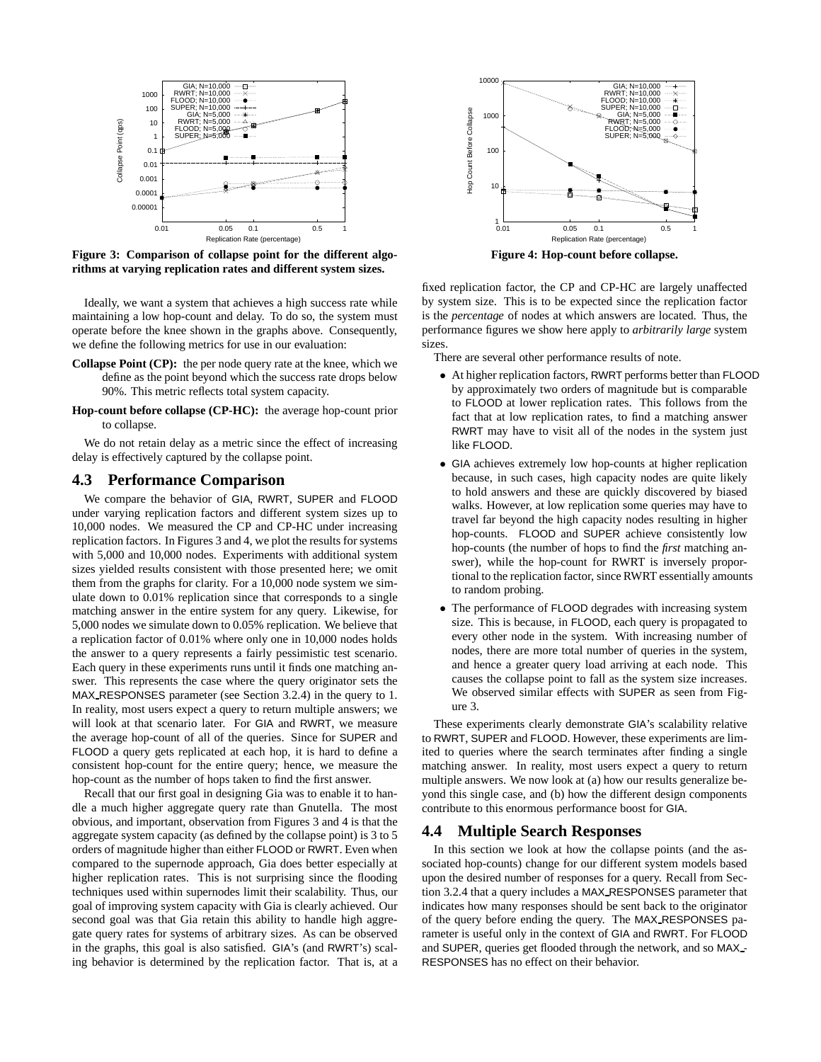

**Figure 3: Comparison of collapse point for the different algorithms at varying replication rates and different system sizes.**

Ideally, we want a system that achieves a high success rate while maintaining a low hop-count and delay. To do so, the system must operate before the knee shown in the graphs above. Consequently, we define the following metrics for use in our evaluation:

- **Collapse Point (CP):** the per node query rate at the knee, which we define as the point beyond which the success rate drops below 90%. This metric reflects total system capacity.
- **Hop-count before collapse (CP-HC):** the average hop-count prior to collapse.

We do not retain delay as a metric since the effect of increasing delay is effectively captured by the collapse point.

#### **4.3 Performance Comparison**

We compare the behavior of GIA, RWRT, SUPER and FLOOD under varying replication factors and different system sizes up to 10,000 nodes. We measured the CP and CP-HC under increasing replication factors. In Figures 3 and 4, we plot the results for systems with 5,000 and 10,000 nodes. Experiments with additional system sizes yielded results consistent with those presented here; we omit them from the graphs for clarity. For a 10,000 node system we simulate down to 0.01% replication since that corresponds to a single matching answer in the entire system for any query. Likewise, for 5,000 nodes we simulate down to 0.05% replication. We believe that a replication factor of 0.01% where only one in 10,000 nodes holds the answer to a query represents a fairly pessimistic test scenario. Each query in these experiments runs until it finds one matching answer. This represents the case where the query originator sets the MAX RESPONSES parameter (see Section 3.2.4) in the query to 1. In reality, most users expect a query to return multiple answers; we will look at that scenario later. For GIA and RWRT, we measure the average hop-count of all of the queries. Since for SUPER and FLOOD a query gets replicated at each hop, it is hard to define a consistent hop-count for the entire query; hence, we measure the hop-count as the number of hops taken to find the first answer.

Recall that our first goal in designing Gia was to enable it to handle a much higher aggregate query rate than Gnutella. The most obvious, and important, observation from Figures 3 and 4 is that the aggregate system capacity (as defined by the collapse point) is 3 to 5 orders of magnitude higher than either FLOOD or RWRT. Even when compared to the supernode approach, Gia does better especially at higher replication rates. This is not surprising since the flooding techniques used within supernodes limit their scalability. Thus, our goal of improving system capacity with Gia is clearly achieved. Our second goal was that Gia retain this ability to handle high aggregate query rates for systems of arbitrary sizes. As can be observed in the graphs, this goal is also satisfied. GIA's (and RWRT's) scaling behavior is determined by the replication factor. That is, at a



fixed replication factor, the CP and CP-HC are largely unaffected by system size. This is to be expected since the replication factor is the *percentage* of nodes at which answers are located. Thus, the performance figures we show here apply to *arbitrarily large* system sizes.

There are several other performance results of note.

- At higher replication factors, RWRT performs better than FLOOD by approximately two orders of magnitude but is comparable to FLOOD at lower replication rates. This follows from the fact that at low replication rates, to find a matching answer RWRT may have to visit all of the nodes in the system just like FLOOD.
- GIA achieves extremely low hop-counts at higher replication because, in such cases, high capacity nodes are quite likely to hold answers and these are quickly discovered by biased walks. However, at low replication some queries may have to travel far beyond the high capacity nodes resulting in higher hop-counts. FLOOD and SUPER achieve consistently low hop-counts (the number of hops to find the *first* matching answer), while the hop-count for RWRT is inversely proportional to the replication factor, since RWRT essentially amounts to random probing.
- The performance of FLOOD degrades with increasing system size. This is because, in FLOOD, each query is propagated to every other node in the system. With increasing number of nodes, there are more total number of queries in the system, and hence a greater query load arriving at each node. This causes the collapse point to fall as the system size increases. We observed similar effects with SUPER as seen from Figure 3.

These experiments clearly demonstrate GIA's scalability relative to RWRT, SUPER and FLOOD. However, these experiments are limited to queries where the search terminates after finding a single matching answer. In reality, most users expect a query to return multiple answers. We now look at (a) how our results generalize beyond this single case, and (b) how the different design components contribute to this enormous performance boost for GIA.

# **4.4 Multiple Search Responses**

In this section we look at how the collapse points (and the associated hop-counts) change for our different system models based upon the desired number of responses for a query. Recall from Section 3.2.4 that a query includes a MAX RESPONSES parameter that indicates how many responses should be sent back to the originator of the query before ending the query. The MAX RESPONSES parameter is useful only in the context of GIA and RWRT. For FLOOD and SUPER, queries get flooded through the network, and so MAX - RESPONSES has no effect on their behavior.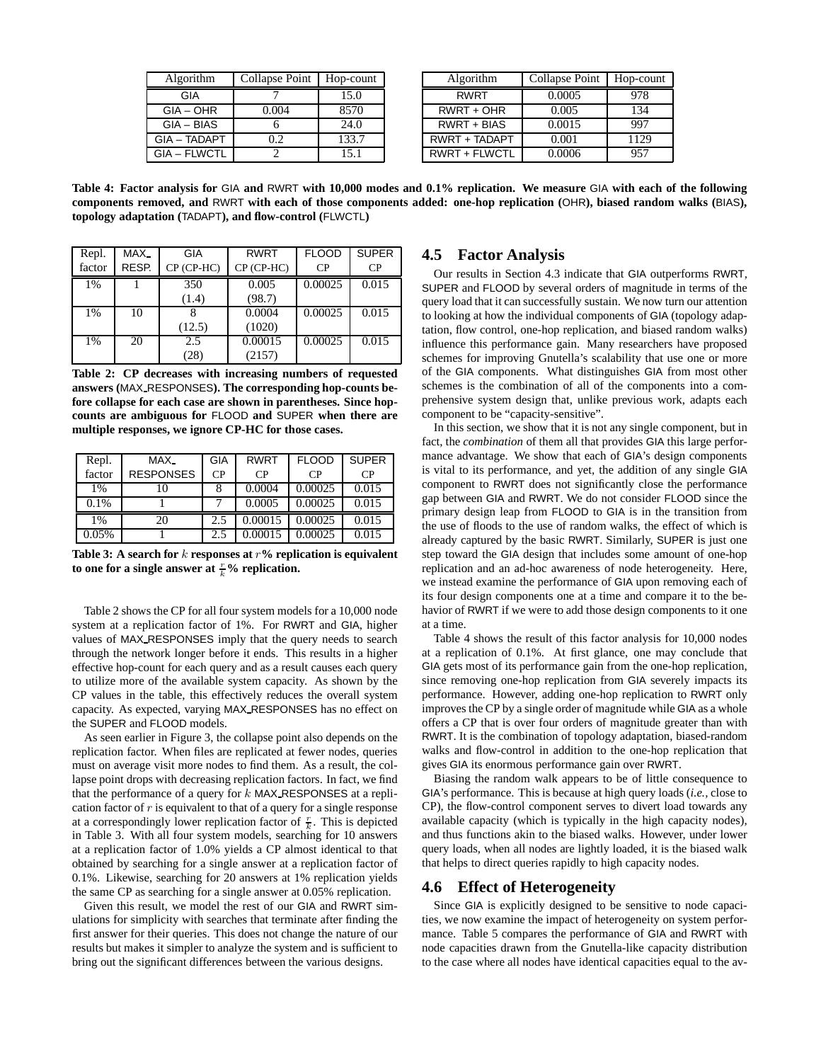| Algorithm           | Collapse Point | Hop-count |
|---------------------|----------------|-----------|
| GIA                 |                | 15.0      |
| $GIA - OHR$         | 0.004          | 8570      |
| $GIA - BIAS$        |                | 24.0      |
| <b>GIA - TADAPT</b> | 02             | 133.7     |
| <b>GIA - FLWCTL</b> |                | 151       |

| Algorithm            | Collapse Point | Hop-count |
|----------------------|----------------|-----------|
| <b>RWRT</b>          | 0.0005         | 978       |
| RWRT + OHR           | 0.005          | 134       |
| <b>RWRT + BIAS</b>   | 0.0015         | 997       |
| RWRT + TADAPT        | 0.001          | 1129      |
| <b>RWRT + FLWCTL</b> | 0.0006         | 957       |

Table 4: Factor analysis for GIA and RWRT with 10,000 modes and 0.1% replication. We measure GIA with each of the following components removed, and RWRT with each of those components added: one-hop replication (OHR), biased random walks (BIAS), **topology adaptation (**TADAPT**), and flow-control (**FLWCTL**)**

| Repl.  | MAX.  | GIA                  | <b>RWRT</b>          | <b>FLOOD</b> | <b>SUPER</b> |
|--------|-------|----------------------|----------------------|--------------|--------------|
| factor | RESP. | $CP$ ( $CP$ - $HC$ ) | $CP$ ( $CP$ - $HC$ ) | CP           | <b>CP</b>    |
| 1%     |       | 350                  | 0.005                | 0.00025      | 0.015        |
|        |       | (1.4)                | (98.7)               |              |              |
| 1%     | 10    |                      | 0.0004               | 0.00025      | 0.015        |
|        |       | (12.5)               | (1020)               |              |              |
| 1%     | 20    | 2.5                  | 0.00015              | 0.00025      | 0.015        |
|        |       | (28)                 | (2157)               |              |              |

**Table 2: CP decreases with increasing numbers of requested answers (**MAX RESPONSES**). The corresponding hop-counts before collapse for each case are shown in parentheses. Since hopcounts are ambiguous for** FLOOD **and** SUPER **when there are multiple responses, we ignore CP-HC for those cases.**

| Repl.  | MAX.             | GIA | <b>RWRT</b> | <b>FLOOD</b> | <b>SUPER</b> |
|--------|------------------|-----|-------------|--------------|--------------|
| factor | <b>RESPONSES</b> | CР  | СP          | CP           | CP           |
| 1%     | 10               |     | 0.0004      | 0.00025      | 0.015        |
| 0.1%   |                  |     | 0.0005      | 0.00025      | 0.015        |
| 1%     | 20               | 2.5 | 0.00015     | 0.00025      | 0.015        |
| 0.05%  |                  | 2.5 | 0.00015     | 0.00025      | 0.015        |

**Table 3: A search for** k **responses at** r**% replication is equivalent to** one for a single answer at  $\frac{r}{k}$ % replication.

Table 2 shows the CP for all four system models for a 10,000 node system at a replication factor of 1%. For RWRT and GIA, higher values of MAX RESPONSES imply that the query needs to search through the network longer before it ends. This results in a higher effective hop-count for each query and as a result causes each query to utilize more of the available system capacity. As shown by the CP values in the table, this effectively reduces the overall system capacity. As expected, varying MAX RESPONSES has no effect on the SUPER and FLOOD models.

As seen earlier in Figure 3, the collapse point also depends on the replication factor. When files are replicated at fewer nodes, queries must on average visit more nodes to find them. As a result, the collapse point drops with decreasing replication factors. In fact, we find that the performance of a query for  $k$  MAX RESPONSES at a replication factor of  $r$  is equivalent to that of a query for a single response at a correspondingly lower replication factor of  $\frac{r}{k}$ . This is depicted in Table 3. With all four system models, searching for 10 answers at a replication factor of 1.0% yields a CP almost identical to that obtained by searching for a single answer at a replication factor of 0.1%. Likewise, searching for 20 answers at 1% replication yields the same CP as searching for a single answer at 0.05% replication.

Given this result, we model the rest of our GIA and RWRT simulations for simplicity with searches that terminate after finding the first answer for their queries. This does not change the nature of our results but makes it simpler to analyze the system and is sufficient to bring out the significant differences between the various designs.

### **4.5 Factor Analysis**

Our results in Section 4.3 indicate that GIA outperforms RWRT, SUPER and FLOOD by several orders of magnitude in terms of the query load that it can successfully sustain. We now turn our attention to looking at how the individual components of GIA (topology adaptation, flow control, one-hop replication, and biased random walks) influence this performance gain. Many researchers have proposed schemes for improving Gnutella's scalability that use one or more of the GIA components. What distinguishes GIA from most other schemes is the combination of all of the components into a comprehensive system design that, unlike previous work, adapts each component to be "capacity-sensitive".

In this section, we show that it is not any single component, but in fact, the *combination* of them all that provides GIA this large performance advantage. We show that each of GIA's design components is vital to its performance, and yet, the addition of any single GIA component to RWRT does not significantly close the performance gap between GIA and RWRT. We do not consider FLOOD since the primary design leap from FLOOD to GIA is in the transition from the use of floods to the use of random walks, the effect of which is already captured by the basic RWRT. Similarly, SUPER is just one step toward the GIA design that includes some amount of one-hop replication and an ad-hoc awareness of node heterogeneity. Here, we instead examine the performance of GIA upon removing each of its four design components one at a time and compare it to the behavior of RWRT if we were to add those design components to it one at a time.

Table 4 shows the result of this factor analysis for 10,000 nodes at a replication of 0.1%. At first glance, one may conclude that GIA gets most of its performance gain from the one-hop replication, since removing one-hop replication from GIA severely impacts its performance. However, adding one-hop replication to RWRT only improves the CP by a single order of magnitude while GIA as a whole offers a CP that is over four orders of magnitude greater than with RWRT. It is the combination of topology adaptation, biased-random walks and flow-control in addition to the one-hop replication that gives GIA its enormous performance gain over RWRT.

Biasing the random walk appears to be of little consequence to GIA's performance. This is because at high query loads (*i.e.,* close to CP), the flow-control component serves to divert load towards any available capacity (which is typically in the high capacity nodes), and thus functions akin to the biased walks. However, under lower query loads, when all nodes are lightly loaded, it is the biased walk that helps to direct queries rapidly to high capacity nodes.

## **4.6 Effect of Heterogeneity**

Since GIA is explicitly designed to be sensitive to node capacities, we now examine the impact of heterogeneity on system performance. Table 5 compares the performance of GIA and RWRT with node capacities drawn from the Gnutella-like capacity distribution to the case where all nodes have identical capacities equal to the av-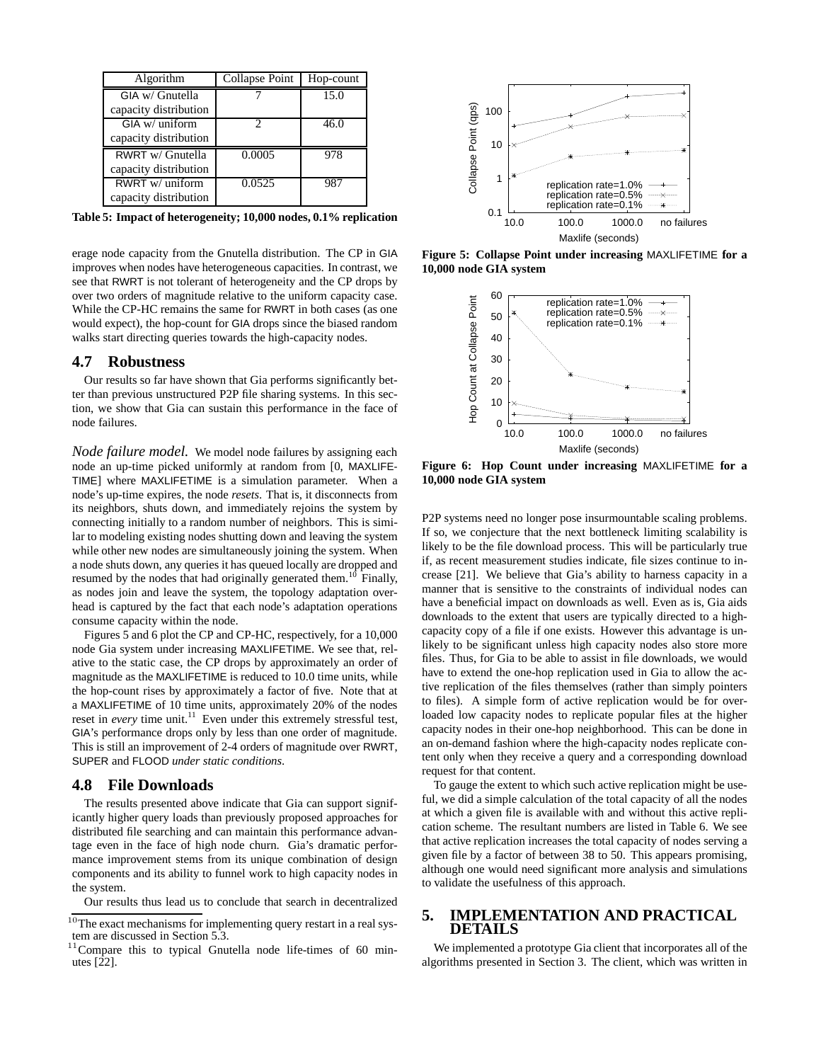| Algorithm             | Collapse Point | Hop-count |
|-----------------------|----------------|-----------|
| GIA w/ Gnutella       |                | 15.0      |
| capacity distribution |                |           |
| GIA w/ uniform        |                | 46.0      |
| capacity distribution |                |           |
| RWRT w/ Gnutella      | 0.0005         | 978       |
| capacity distribution |                |           |
| RWRT w/ uniform       | 0.0525         | 987       |
| capacity distribution |                |           |

**Table 5: Impact of heterogeneity; 10,000 nodes, 0.1% replication**

erage node capacity from the Gnutella distribution. The CP in GIA improves when nodes have heterogeneous capacities. In contrast, we see that RWRT is not tolerant of heterogeneity and the CP drops by over two orders of magnitude relative to the uniform capacity case. While the CP-HC remains the same for RWRT in both cases (as one would expect), the hop-count for GIA drops since the biased random walks start directing queries towards the high-capacity nodes.

# **4.7 Robustness**

Our results so far have shown that Gia performs significantly better than previous unstructured P2P file sharing systems. In this section, we show that Gia can sustain this performance in the face of node failures.

*Node failure model.* We model node failures by assigning each node an up-time picked uniformly at random from [0, MAXLIFE-TIME] where MAXLIFETIME is a simulation parameter. When a node's up-time expires, the node *resets*. That is, it disconnects from its neighbors, shuts down, and immediately rejoins the system by connecting initially to a random number of neighbors. This is similar to modeling existing nodes shutting down and leaving the system while other new nodes are simultaneously joining the system. When a node shuts down, any queries it has queued locally are dropped and resumed by the nodes that had originally generated them.<sup>10</sup> Finally, as nodes join and leave the system, the topology adaptation overhead is captured by the fact that each node's adaptation operations consume capacity within the node.

Figures 5 and 6 plot the CP and CP-HC, respectively, for a 10,000 node Gia system under increasing MAXLIFETIME. We see that, relative to the static case, the CP drops by approximately an order of magnitude as the MAXLIFETIME is reduced to 10.0 time units, while the hop-count rises by approximately a factor of five. Note that at a MAXLIFETIME of 10 time units, approximately 20% of the nodes reset in *every* time unit.<sup>11</sup> Even under this extremely stressful test, GIA's performance drops only by less than one order of magnitude. This is still an improvement of 2-4 orders of magnitude over RWRT, SUPER and FLOOD *under static conditions*.

#### **4.8 File Downloads**

The results presented above indicate that Gia can support significantly higher query loads than previously proposed approaches for distributed file searching and can maintain this performance advantage even in the face of high node churn. Gia's dramatic performance improvement stems from its unique combination of design components and its ability to funnel work to high capacity nodes in the system.

Our results thus lead us to conclude that search in decentralized



**Figure 5: Collapse Point under increasing** MAXLIFETIME **for a 10,000 node GIA system**



**Figure 6: Hop Count under increasing** MAXLIFETIME **for a 10,000 node GIA system**

P2P systems need no longer pose insurmountable scaling problems. If so, we conjecture that the next bottleneck limiting scalability is likely to be the file download process. This will be particularly true if, as recent measurement studies indicate, file sizes continue to increase [21]. We believe that Gia's ability to harness capacity in a manner that is sensitive to the constraints of individual nodes can have a beneficial impact on downloads as well. Even as is, Gia aids downloads to the extent that users are typically directed to a highcapacity copy of a file if one exists. However this advantage is unlikely to be significant unless high capacity nodes also store more files. Thus, for Gia to be able to assist in file downloads, we would have to extend the one-hop replication used in Gia to allow the active replication of the files themselves (rather than simply pointers to files). A simple form of active replication would be for overloaded low capacity nodes to replicate popular files at the higher capacity nodes in their one-hop neighborhood. This can be done in an on-demand fashion where the high-capacity nodes replicate content only when they receive a query and a corresponding download request for that content.

To gauge the extent to which such active replication might be useful, we did a simple calculation of the total capacity of all the nodes at which a given file is available with and without this active replication scheme. The resultant numbers are listed in Table 6. We see that active replication increases the total capacity of nodes serving a given file by a factor of between 38 to 50. This appears promising, although one would need significant more analysis and simulations to validate the usefulness of this approach.

# **5. IMPLEMENTATION AND PRACTICAL DETAILS**

We implemented a prototype Gia client that incorporates all of the algorithms presented in Section 3. The client, which was written in

 $10$ The exact mechanisms for implementing query restart in a real system are discussed in Section 5.3.

 $11$ Compare this to typical Gnutella node life-times of 60 minutes [22].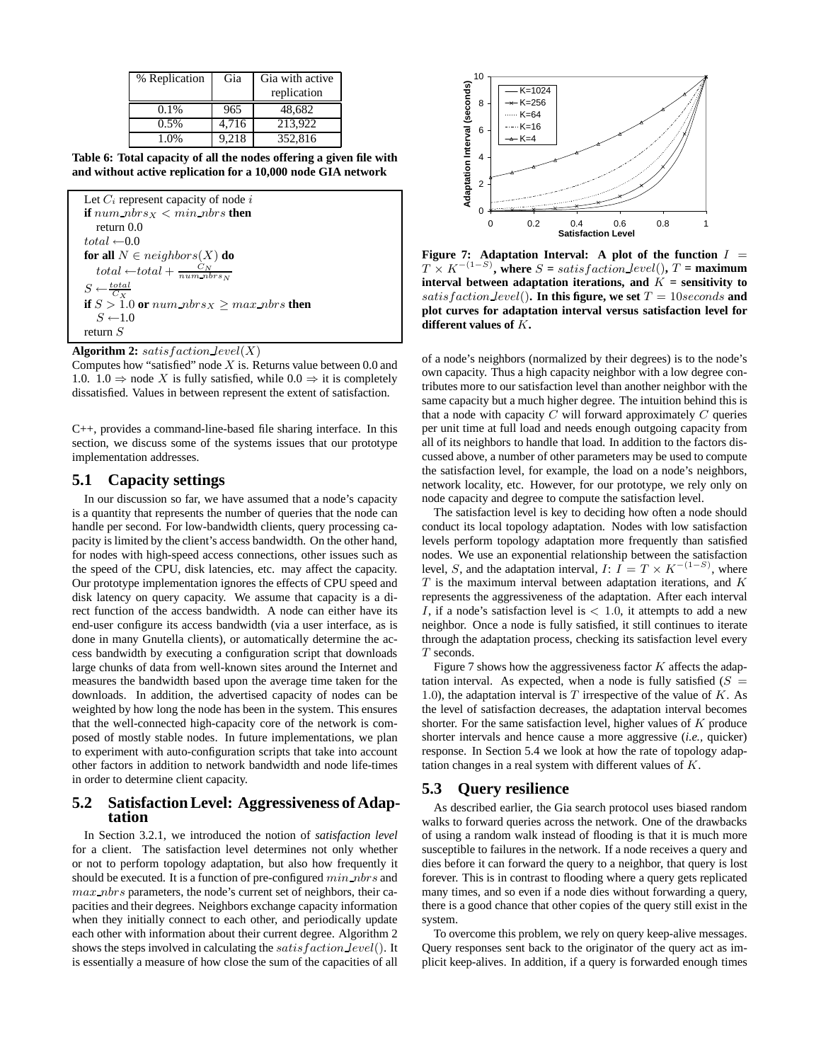| % Replication | Gia   | Gia with active |
|---------------|-------|-----------------|
|               |       | replication     |
| 0.1%          | 965   | 48,682          |
| 0.5%          | 4,716 | 213.922         |
| 1.0%          | 9.218 | 352,816         |

**Table 6: Total capacity of all the nodes offering a given file with and without active replication for a 10,000 node GIA network**

| Let $C_i$ represent capacity of node i             |
|----------------------------------------------------|
| if $num\_nbrs_X < min\_nbrs$ then                  |
| return 0.0                                         |
| $total \leftarrow 0.0$                             |
| for all $N \in neighbors(X)$ do                    |
| $total \leftarrow total + \frac{C_N}{num\_nbrs_N}$ |
| $S \leftarrow \frac{total}{C_{\mathbf{v}}}$        |
| if $S > 1.0$ or num nbrs $_X \geq max$ nbrs then   |
| $S \leftarrow 1.0$                                 |
| return $S$                                         |

**Algorithm 2:** satisfaction  $level(X)$ 

Computes how "satisfied" node  $X$  is. Returns value between 0.0 and 1.0. 1.0  $\Rightarrow$  node X is fully satisfied, while 0.0  $\Rightarrow$  it is completely dissatisfied. Values in between represent the extent of satisfaction.

C++, provides a command-line-based file sharing interface. In this section, we discuss some of the systems issues that our prototype implementation addresses.

## **5.1 Capacity settings**

In our discussion so far, we have assumed that a node's capacity is a quantity that represents the number of queries that the node can handle per second. For low-bandwidth clients, query processing capacity is limited by the client's access bandwidth. On the other hand, for nodes with high-speed access connections, other issues such as the speed of the CPU, disk latencies, etc. may affect the capacity. Our prototype implementation ignores the effects of CPU speed and disk latency on query capacity. We assume that capacity is a direct function of the access bandwidth. A node can either have its end-user configure its access bandwidth (via a user interface, as is done in many Gnutella clients), or automatically determine the access bandwidth by executing a configuration script that downloads large chunks of data from well-known sites around the Internet and measures the bandwidth based upon the average time taken for the downloads. In addition, the advertised capacity of nodes can be weighted by how long the node has been in the system. This ensures that the well-connected high-capacity core of the network is composed of mostly stable nodes. In future implementations, we plan to experiment with auto-configuration scripts that take into account other factors in addition to network bandwidth and node life-times in order to determine client capacity.

## **5.2 SatisfactionLevel: Aggressiveness of Adaptation**

In Section 3.2.1, we introduced the notion of *satisfaction level* for a client. The satisfaction level determines not only whether or not to perform topology adaptation, but also how frequently it should be executed. It is a function of pre-configured  $min\_nbrs$  and  $max\_nbrs$  parameters, the node's current set of neighbors, their capacities and their degrees. Neighbors exchange capacity information when they initially connect to each other, and periodically update each other with information about their current degree. Algorithm 2 shows the steps involved in calculating the *satisfaction level*(). It is essentially a measure of how close the sum of the capacities of all



**Figure** 7: **Adaptation Interval: A** plot of the function  $I =$  $T \times K^{-(1-S)}$ , where  $S = \text{satisfactor level}($ ,  $T = \text{maximum}$ **interval** between **adaptation iterations**, and  $K =$  **sensitivity** to satisfaction level(). In this figure, we set  $T = 10$ seconds and **plot curves for adaptation interval versus satisfaction level for different values of** K**.**

of a node's neighbors (normalized by their degrees) is to the node's own capacity. Thus a high capacity neighbor with a low degree contributes more to our satisfaction level than another neighbor with the same capacity but a much higher degree. The intuition behind this is that a node with capacity  $C$  will forward approximately  $C$  queries per unit time at full load and needs enough outgoing capacity from all of its neighbors to handle that load. In addition to the factors discussed above, a number of other parameters may be used to compute the satisfaction level, for example, the load on a node's neighbors, network locality, etc. However, for our prototype, we rely only on node capacity and degree to compute the satisfaction level.

The satisfaction level is key to deciding how often a node should conduct its local topology adaptation. Nodes with low satisfaction levels perform topology adaptation more frequently than satisfied nodes. We use an exponential relationship between the satisfaction level, S, and the adaptation interval,  $I: I = T \times K^{-(1-S)}$ , where  $T$  is the maximum interval between adaptation iterations, and  $K$ represents the aggressiveness of the adaptation. After each interval I, if a node's satisfaction level is  $< 1.0$ , it attempts to add a new neighbor. Once a node is fully satisfied, it still continues to iterate through the adaptation process, checking its satisfaction level every T seconds.

Figure 7 shows how the aggressiveness factor  $K$  affects the adaptation interval. As expected, when a node is fully satisfied  $(S =$ 1.0), the adaptation interval is  $T$  irrespective of the value of  $K$ . As the level of satisfaction decreases, the adaptation interval becomes shorter. For the same satisfaction level, higher values of  $K$  produce shorter intervals and hence cause a more aggressive (*i.e.,* quicker) response. In Section 5.4 we look at how the rate of topology adaptation changes in a real system with different values of K.

# **5.3 Query resilience**

As described earlier, the Gia search protocol uses biased random walks to forward queries across the network. One of the drawbacks of using a random walk instead of flooding is that it is much more susceptible to failures in the network. If a node receives a query and dies before it can forward the query to a neighbor, that query is lost forever. This is in contrast to flooding where a query gets replicated many times, and so even if a node dies without forwarding a query, there is a good chance that other copies of the query still exist in the system.

To overcome this problem, we rely on query keep-alive messages. Query responses sent back to the originator of the query act as implicit keep-alives. In addition, if a query is forwarded enough times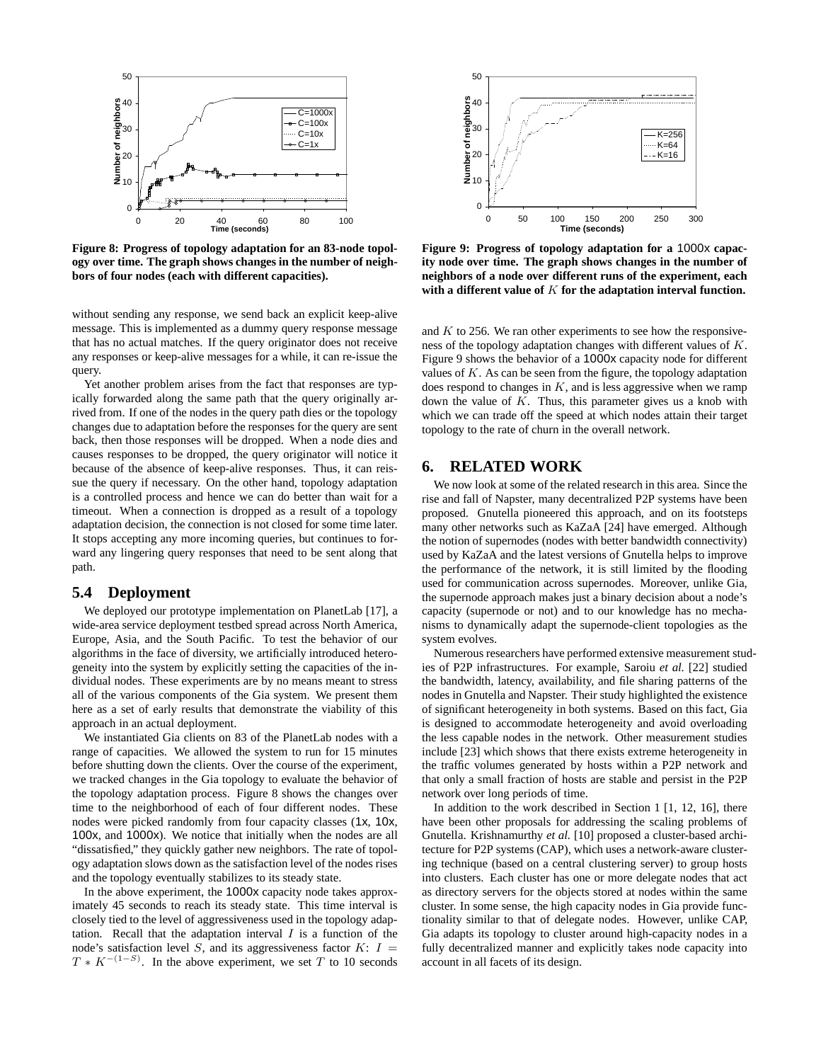

**Figure 8: Progress of topology adaptation for an 83-node topology over time. The graph shows changes in the number of neighbors of four nodes (each with different capacities).**

without sending any response, we send back an explicit keep-alive message. This is implemented as a dummy query response message that has no actual matches. If the query originator does not receive any responses or keep-alive messages for a while, it can re-issue the query.

Yet another problem arises from the fact that responses are typically forwarded along the same path that the query originally arrived from. If one of the nodes in the query path dies or the topology changes due to adaptation before the responses for the query are sent back, then those responses will be dropped. When a node dies and causes responses to be dropped, the query originator will notice it because of the absence of keep-alive responses. Thus, it can reissue the query if necessary. On the other hand, topology adaptation is a controlled process and hence we can do better than wait for a timeout. When a connection is dropped as a result of a topology adaptation decision, the connection is not closed for some time later. It stops accepting any more incoming queries, but continues to forward any lingering query responses that need to be sent along that path.

# **5.4 Deployment**

We deployed our prototype implementation on PlanetLab [17], a wide-area service deployment testbed spread across North America, Europe, Asia, and the South Pacific. To test the behavior of our algorithms in the face of diversity, we artificially introduced heterogeneity into the system by explicitly setting the capacities of the individual nodes. These experiments are by no means meant to stress all of the various components of the Gia system. We present them here as a set of early results that demonstrate the viability of this approach in an actual deployment.

We instantiated Gia clients on 83 of the PlanetLab nodes with a range of capacities. We allowed the system to run for 15 minutes before shutting down the clients. Over the course of the experiment, we tracked changes in the Gia topology to evaluate the behavior of the topology adaptation process. Figure 8 shows the changes over time to the neighborhood of each of four different nodes. These nodes were picked randomly from four capacity classes (1x, 10x, 100x, and 1000x). We notice that initially when the nodes are all "dissatisfied," they quickly gather new neighbors. The rate of topology adaptation slows down as the satisfaction level of the nodes rises and the topology eventually stabilizes to its steady state.

In the above experiment, the 1000x capacity node takes approximately 45 seconds to reach its steady state. This time interval is closely tied to the level of aggressiveness used in the topology adaptation. Recall that the adaptation interval  $I$  is a function of the node's satisfaction level S, and its aggressiveness factor  $K: I =$  $T * K^{-(1-S)}$ . In the above experiment, we set T to 10 seconds



**Figure 9: Progress of topology adaptation for a** 1000x **capacity node over time. The graph shows changes in the number of neighbors of a node over different runs of the experiment, each with a different value of** K **for the adaptation interval function.**

and  $K$  to 256. We ran other experiments to see how the responsiveness of the topology adaptation changes with different values of K. Figure 9 shows the behavior of a 1000x capacity node for different values of  $K$ . As can be seen from the figure, the topology adaptation does respond to changes in  $K$ , and is less aggressive when we ramp down the value of  $K$ . Thus, this parameter gives us a knob with which we can trade off the speed at which nodes attain their target topology to the rate of churn in the overall network.

# **6. RELATED WORK**

We now look at some of the related research in this area. Since the rise and fall of Napster, many decentralized P2P systems have been proposed. Gnutella pioneered this approach, and on its footsteps many other networks such as KaZaA [24] have emerged. Although the notion of supernodes (nodes with better bandwidth connectivity) used by KaZaA and the latest versions of Gnutella helps to improve the performance of the network, it is still limited by the flooding used for communication across supernodes. Moreover, unlike Gia, the supernode approach makes just a binary decision about a node's capacity (supernode or not) and to our knowledge has no mechanisms to dynamically adapt the supernode-client topologies as the system evolves.

Numerous researchers have performed extensive measurement studies of P2P infrastructures. For example, Saroiu *et al.* [22] studied the bandwidth, latency, availability, and file sharing patterns of the nodes in Gnutella and Napster. Their study highlighted the existence of significant heterogeneity in both systems. Based on this fact, Gia is designed to accommodate heterogeneity and avoid overloading the less capable nodes in the network. Other measurement studies include [23] which shows that there exists extreme heterogeneity in the traffic volumes generated by hosts within a P2P network and that only a small fraction of hosts are stable and persist in the P2P network over long periods of time.

In addition to the work described in Section 1 [1, 12, 16], there have been other proposals for addressing the scaling problems of Gnutella. Krishnamurthy *et al.* [10] proposed a cluster-based architecture for P2P systems (CAP), which uses a network-aware clustering technique (based on a central clustering server) to group hosts into clusters. Each cluster has one or more delegate nodes that act as directory servers for the objects stored at nodes within the same cluster. In some sense, the high capacity nodes in Gia provide functionality similar to that of delegate nodes. However, unlike CAP, Gia adapts its topology to cluster around high-capacity nodes in a fully decentralized manner and explicitly takes node capacity into account in all facets of its design.